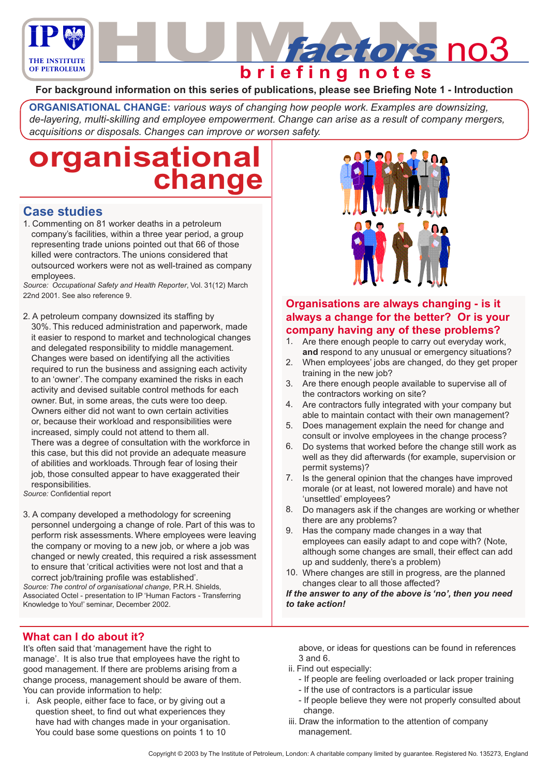

# **b r i e f i n g n o t e s**

#### **For background information on this series of publications, please see Briefing Note 1 - Introduction**

**ORGANISATIONAL CHANGE:** *various ways of changing how people work. Examples are downsizing, de-layering, multi-skilling and employee empowerment. Change can arise as a result of company mergers, acquisitions or disposals. Changes can improve or worsen safety.*

# **organisational change**

### **Case studies**

1. Commenting on 81 worker deaths in a petroleum company's facilities, within a three year period, a group representing trade unions pointed out that 66 of those killed were contractors. The unions considered that outsourced workers were not as well-trained as company employees.

*Source: Occupational Safety and Health Reporter*, Vol. 31(12) March 22nd 2001. See also reference 9.

2. A petroleum company downsized its staffing by 30%. This reduced administration and paperwork, made it easier to respond to market and technological changes and delegated responsibility to middle management. Changes were based on identifying all the activities required to run the business and assigning each activity to an 'owner'. The company examined the risks in each activity and devised suitable control methods for each owner. But, in some areas, the cuts were too deep. Owners either did not want to own certain activities or, because their workload and responsibilities were increased, simply could not attend to them all. There was a degree of consultation with the workforce in this case, but this did not provide an adequate measure of abilities and workloads. Through fear of losing their job, those consulted appear to have exaggerated their responsibilities.

*Source:* Confidential report

3. A company developed a methodology for screening personnel undergoing a change of role. Part of this was to perform risk assessments. Where employees were leaving the company or moving to a new job, or where a job was changed or newly created, this required a risk assessment to ensure that 'critical activities were not lost and that a correct job/training profile was established'.

*Source: The control of organisational change*, P.R.H. Shields, Associated Octel - presentation to IP 'Human Factors - Transferring Knowledge to You!' seminar, December 2002.



It's often said that 'management have the right to manage'. It is also true that employees have the right to good management. If there are problems arising from a change process, management should be aware of them. You can provide information to help:

 i. Ask people, either face to face, or by giving out a question sheet, to find out what experiences they have had with changes made in your organisation. You could base some questions on points 1 to 10



**Hactors no3** 

### **Organisations are always changing - is it always a change for the better? Or is your company having any of these problems?**

- Are there enough people to carry out everyday work, **and** respond to any unusual or emergency situations? 1.
- When employees' jobs are changed, do they get proper training in the new job? 2.
- Are there enough people available to supervise all of the contractors working on site? 3.
- Are contractors fully integrated with your company but able to maintain contact with their own management? 4.
- 5. Does management explain the need for change and consult or involve employees in the change process?
- Do systems that worked before the change still work as 6. well as they did afterwards (for example, supervision or permit systems)?
- 7. Is the general opinion that the changes have improved morale (or at least, not lowered morale) and have not 'unsettled' employees?
- Do managers ask if the changes are working or whether there are any problems? 8.
- Has the company made changes in a way that employees can easily adapt to and cope with? (Note, although some changes are small, their effect can add up and suddenly, there's a problem) 9.
- Where changes are still in progress, are the planned 10. changes clear to all those affected?

*If the answer to any of the above is 'no', then you need to take action!*

above, or ideas for questions can be found in references 3 and 6.

- ii. Find out especially:
	- If people are feeling overloaded or lack proper training
	- If the use of contractors is a particular issue
	- If people believe they were not properly consulted about change.
- iii. Draw the information to the attention of company management.